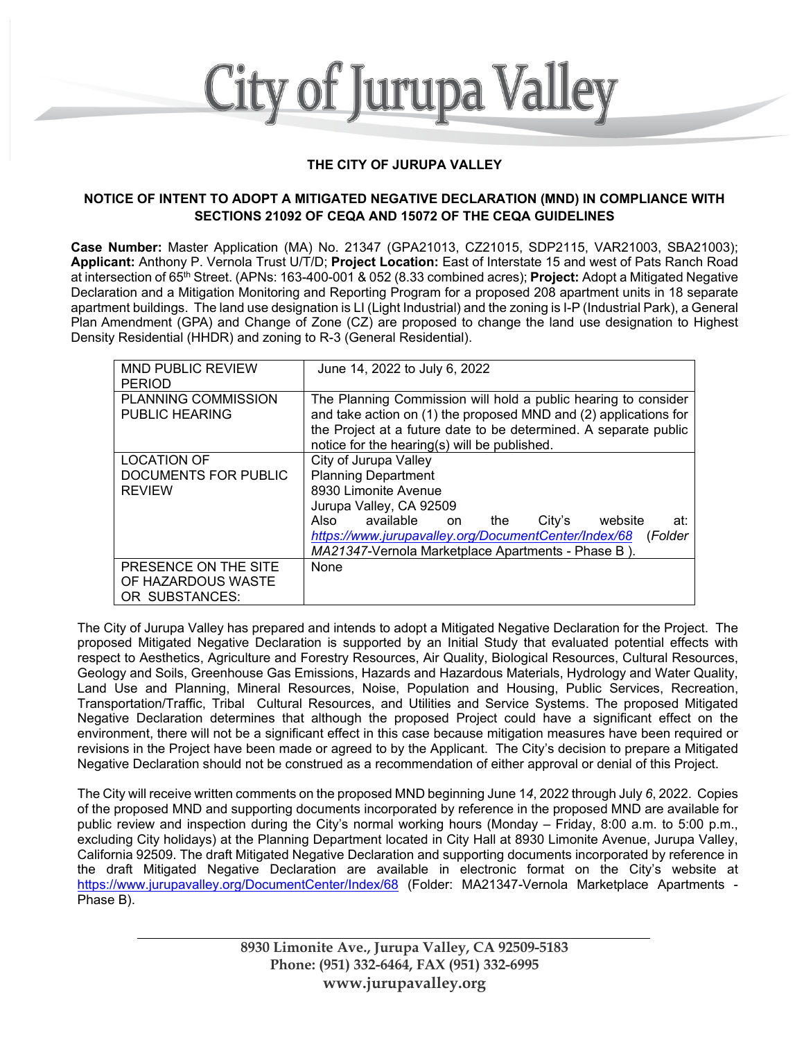## City of Jurupa Valley

## **THE CITY OF JURUPA VALLEY**

## **NOTICE OF INTENT TO ADOPT A MITIGATED NEGATIVE DECLARATION (MND) IN COMPLIANCE WITH SECTIONS 21092 OF CEQA AND 15072 OF THE CEQA GUIDELINES**

**Case Number:** Master Application (MA) No. 21347 (GPA21013, CZ21015, SDP2115, VAR21003, SBA21003); **Applicant:** Anthony P. Vernola Trust U/T/D; **Project Location:** East of Interstate 15 and west of Pats Ranch Road at intersection of 65th Street. (APNs: 163-400-001 & 052 (8.33 combined acres); **Project:** Adopt a Mitigated Negative Declaration and a Mitigation Monitoring and Reporting Program for a proposed 208 apartment units in 18 separate apartment buildings. The land use designation is LI (Light Industrial) and the zoning is I-P (Industrial Park), a General Plan Amendment (GPA) and Change of Zone (CZ) are proposed to change the land use designation to Highest Density Residential (HHDR) and zoning to R-3 (General Residential).

| <b>MND PUBLIC REVIEW</b><br><b>PERIOD</b>                    | June 14, 2022 to July 6, 2022                                                                                                                                                                                                                                                                 |
|--------------------------------------------------------------|-----------------------------------------------------------------------------------------------------------------------------------------------------------------------------------------------------------------------------------------------------------------------------------------------|
| <b>PLANNING COMMISSION</b><br><b>PUBLIC HEARING</b>          | The Planning Commission will hold a public hearing to consider<br>and take action on (1) the proposed MND and (2) applications for<br>the Project at a future date to be determined. A separate public<br>notice for the hearing(s) will be published.                                        |
| <b>LOCATION OF</b><br>DOCUMENTS FOR PUBLIC<br><b>REVIEW</b>  | City of Jurupa Valley<br><b>Planning Department</b><br>8930 Limonite Avenue<br>Jurupa Valley, CA 92509<br>available<br>Also<br>website<br>City's<br>the<br>at:<br>on<br>https://www.jurupavalley.org/DocumentCenter/Index/68<br>(Folder<br>MA21347-Vernola Marketplace Apartments - Phase B). |
| PRESENCE ON THE SITE<br>OF HAZARDOUS WASTE<br>OR SUBSTANCES: | None                                                                                                                                                                                                                                                                                          |

The City of Jurupa Valley has prepared and intends to adopt a Mitigated Negative Declaration for the Project. The proposed Mitigated Negative Declaration is supported by an Initial Study that evaluated potential effects with respect to Aesthetics, Agriculture and Forestry Resources, Air Quality, Biological Resources, Cultural Resources, Geology and Soils, Greenhouse Gas Emissions, Hazards and Hazardous Materials, Hydrology and Water Quality, Land Use and Planning, Mineral Resources, Noise, Population and Housing, Public Services, Recreation, Transportation/Traffic, Tribal Cultural Resources, and Utilities and Service Systems. The proposed Mitigated Negative Declaration determines that although the proposed Project could have a significant effect on the environment, there will not be a significant effect in this case because mitigation measures have been required or revisions in the Project have been made or agreed to by the Applicant. The City's decision to prepare a Mitigated Negative Declaration should not be construed as a recommendation of either approval or denial of this Project.

The City will receive written comments on the proposed MND beginning June 1*4*, 2022 through July *6*, 2022. Copies of the proposed MND and supporting documents incorporated by reference in the proposed MND are available for public review and inspection during the City's normal working hours (Monday – Friday, 8:00 a.m. to 5:00 p.m., excluding City holidays) at the Planning Department located in City Hall at 8930 Limonite Avenue, Jurupa Valley, California 92509. The draft Mitigated Negative Declaration and supporting documents incorporated by reference in the draft Mitigated Negative Declaration are available in electronic format on the City's website at <https://www.jurupavalley.org/DocumentCenter/Index/68> (Folder: MA21347*-*Vernola Marketplace Apartments - Phase B).